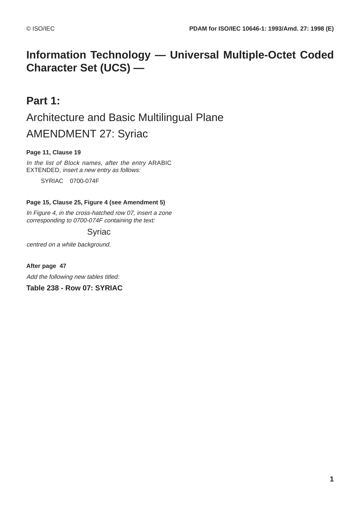## **Information Technology — Universal Multiple-Octet Coded Character Set (UCS) —**

# **Part 1:** Architecture and Basic Multilingual Plane AMENDMENT 27: Syriac

## **Page 11, Clause 19**

In the list of Block names, after the entry ARABIC EXTENDED, insert a new entry as follows:

SYRIAC 0700-074F

### **Page 15, Clause 25, Figure 4 (see Amendment 5)**

In Figure 4, in the cross-hatched row 07, insert a zone corresponding to 0700-074F containing the text:

## Syriac

centred on a white background.

**After page 47**

Add the following new tables titled:

**Table 238 - Row 07: SYRIAC**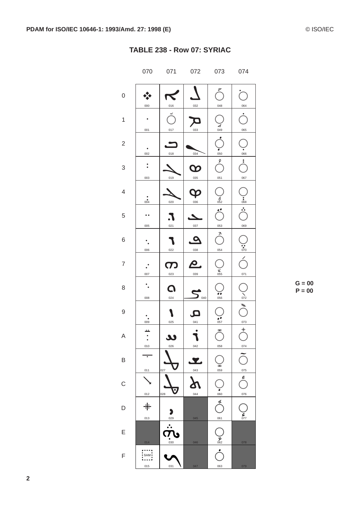|                | 070           | 071              | 072             | 073                                                                      | 074                                            |
|----------------|---------------|------------------|-----------------|--------------------------------------------------------------------------|------------------------------------------------|
| 0              | 000           | 016              | 032             | 048                                                                      | 064                                            |
| 1              | 001           | 017              | 033             | $\frac{2}{049}$                                                          | Ö,<br>065                                      |
| $\overline{2}$ | 002           | 018              | 034             |                                                                          | 066                                            |
| 3              | 003           | 019              | 035             | $\begin{array}{c}\n\bullet \\ \hline\n050 \\ \hline\n\end{array}$<br>051 | 067                                            |
| 4              | 004           | 020              | 036             | $\frac{6}{0.052}$                                                        | $rac{1}{068}$                                  |
| 5              | 005           | 021              | 037             | 053                                                                      | 069                                            |
| 6              | 006           | 022              | 038             | $\ddot{\cdot}$<br>054                                                    | $\frac{1}{070}$                                |
| 7              | 007           | <b>CD</b><br>023 | <u>О</u><br>039 | $rac{C}{055}$                                                            | 071                                            |
| 8              | 008           | C<br>024         | 040             | 056                                                                      | $\frac{1}{072}$                                |
| 9              | 009           | 025              | 041             | $\frac{1}{057}$                                                          | <b><i><b>HHK</b></i></b><br>073                |
| A              | ┻<br>٠<br>010 | 026              | 042             | فممهوره<br>058                                                           | $+$<br>فمسالح<br>074                           |
| Β              | 011           | 027              | 043             | $\frac{1}{059}$                                                          |                                                |
| C              | 012           | 028              | 044             | $rac{1}{\sqrt{2}}$                                                       | $rac{075}{5}$<br>076                           |
| D              | $+$<br>013    | 029              | 045             | 061                                                                      | $\bigodot$ <sub><math>\frac{2}{5}</math></sub> |
| Ε              | 014           | ∴.<br>030        | 046             | $\sum_{062}$                                                             | 078                                            |
| F              | SAM .<br>015  | 031              | 047             | -<br><br>063                                                             | 079                                            |

|  |  | TABLE 238 - Row 07: SYRIAC |
|--|--|----------------------------|
|  |  |                            |

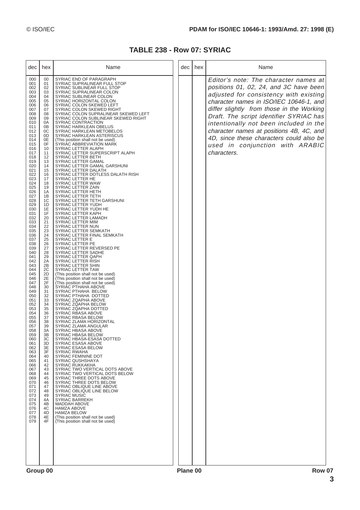## **TABLE 238 - Row 07: SYRIAC**

| dec                                                                                                                                                                                                                                                                                                                                                                                                                                                                                                                                                                          | hex                                                                                                                                                                                                                                                                                                                                                                                                                                                                                          | Name                                                                                                                                                                                                                                                                                                                                                                                                                                                                                                                                                                                                                                                                                                                                                                                                                                                                                                                                                                                                                                                                                                                                                                                                                                                                                                                                                                                                                                                                                                                                                                                                                                                                                                                                                                                                                                                                                                                                                                                                                                                                                                                                                                    | dec      | hex | Name                                                                                                                                                                                                                                                                                                                                                                                                                                             |
|------------------------------------------------------------------------------------------------------------------------------------------------------------------------------------------------------------------------------------------------------------------------------------------------------------------------------------------------------------------------------------------------------------------------------------------------------------------------------------------------------------------------------------------------------------------------------|----------------------------------------------------------------------------------------------------------------------------------------------------------------------------------------------------------------------------------------------------------------------------------------------------------------------------------------------------------------------------------------------------------------------------------------------------------------------------------------------|-------------------------------------------------------------------------------------------------------------------------------------------------------------------------------------------------------------------------------------------------------------------------------------------------------------------------------------------------------------------------------------------------------------------------------------------------------------------------------------------------------------------------------------------------------------------------------------------------------------------------------------------------------------------------------------------------------------------------------------------------------------------------------------------------------------------------------------------------------------------------------------------------------------------------------------------------------------------------------------------------------------------------------------------------------------------------------------------------------------------------------------------------------------------------------------------------------------------------------------------------------------------------------------------------------------------------------------------------------------------------------------------------------------------------------------------------------------------------------------------------------------------------------------------------------------------------------------------------------------------------------------------------------------------------------------------------------------------------------------------------------------------------------------------------------------------------------------------------------------------------------------------------------------------------------------------------------------------------------------------------------------------------------------------------------------------------------------------------------------------------------------------------------------------------|----------|-----|--------------------------------------------------------------------------------------------------------------------------------------------------------------------------------------------------------------------------------------------------------------------------------------------------------------------------------------------------------------------------------------------------------------------------------------------------|
| 000<br>001<br>002<br>003<br>004<br>005<br>006<br>007<br>008<br>009<br>010<br>011<br>012<br>013<br>014<br>015<br>016<br>017<br>018<br>019<br>020<br>021<br>022<br>023<br>024<br>025<br>026<br>027<br>028<br>029<br>030<br>031<br>032<br>033<br>034<br>035<br>036<br>037<br>038<br>039<br>040<br>041<br>042<br>043<br>044<br>045<br>046<br>047<br>048<br>049<br>050<br>051<br>052<br>053<br>054<br>055<br>056<br>057<br>058<br>059<br>060<br>061<br>062<br>063<br>064<br>065<br>066<br>067<br>068<br>069<br>070<br>071<br>072<br>073<br>074<br>075<br>076<br>077<br>078<br>079 | 00<br>01<br>02<br>03<br>04<br>05<br>06<br>07<br>08<br>09<br>0A<br>0B<br>0C<br>0D<br>0E<br>0F<br>10<br>11<br>12<br>13<br>14<br>15<br>16<br>17<br>18<br>19<br>1A<br>1B<br>1C<br>1D<br>1E<br>1F<br>20<br>21<br>22<br>23<br>24<br>25<br>26<br>27<br>28<br>29<br>2A<br>2B<br>2C<br>2D<br>2E<br>2F<br>30<br>31<br>32<br>33<br>34<br>35<br>36<br>37<br>38<br>39<br>3A<br>3B<br>3C<br>3D<br>3E<br>3F<br>40<br>41<br>42<br>43<br>44<br>45<br>46<br>47<br>48<br>49<br>4A<br>4B<br>4C<br>4D<br>4E<br>4F | SYRIAC END OF PARAGRAPH<br>SYRIAC SUPRALINEAR FULL STOP<br>SYRIAC SUBLINEAR FULL STOP<br>SYRIAC SUPRALINEAR COLON<br>SYRIAC SUBLINEAR COLON<br>SYRIAC HORIZONTAL COLON<br>SYRIAC COLON SKEWED LEFT<br>SYRIAC COLON SKEWED RIGHT<br>SYRIAC COLON SUPRALINEAR SKEWED LEFT<br>SYRIAC COLON SUBLINEAR SKEWED RIGHT<br>SYRIAC CONTRACTION<br>SYRIAC HARKLEAN OBELUS<br>SYRIAC HARKLEAN METOBELOS<br>SYRIAC HARKLEAN ASTERISCUS<br>(This position shall not be used)<br>SYRIAC ABBREVIATION MARK<br>SYRIAC LETTER ALAPH<br>SYRIAC LETTER SUPERSCRIPT ALAPH<br>SYRIAC LETTER BETH<br>SYRIAC LETTER GAMAL<br>SYRIAC LETTER GAMAL GARSHUNI<br>SYRIAC LETTER DALATH<br>SYRIAC LETTER DOTLESS DALATH RISH<br>SYRIAC LETTER HE<br>SYRIAC LETTER WAW<br>SYRIAC LETTER ZAIN<br>SYRIAC LETTER HETH<br>SYRIAC LETTER TETH<br>SYRIAC LETTER TETH GARSHUNI<br>SYRIAC LETTER YUDH<br>SYRIAC LETTER YUDH HE<br>SYRIAC LETTER KAPH<br>SYRIAC LETTER LAMADH<br>SYRIAC LETTER MIM<br>SYRIAC LETTER NUN<br>SYRIAC LETTER SEMKATH<br>SYRIAC LETTER FINAL SEMKATH<br>SYRIAC LETTER E<br>SYRIAC LETTER PE<br>SYRIAC LETTER REVERSED PE<br>SYRIAC LETTER SADHE<br>SYRIAC LETTER QAPH<br>SYRIAC LETTER RISH<br>SYRIAC LETTER SHIN<br>SYRIAC LETTER TAW<br>(This position shall not be used)<br>(This position shall not be used)<br>(This position shall not be used)<br>SYRIAC PTHAHA ABOVE<br>SYRIAC PTHAHA BELOW<br>SYRIAC PTHAHA DOTTED<br>SYRIAC ZQAPHA ABOVE<br>SYRIAC ZQAPHA BELOW<br>SYRIAC ZQAPHA DOTTED<br>SYRIAC RBASA ABOVE<br>SYRIAC RBASA BELOW<br>SYRIAC ZLAMA HORIZONTAL<br>SYRIAC ZLAMA ANGULAR<br>SYRIAC HBASA ABOVE<br>SYRIAC HBASA BELOW<br>SYRIAC HBASA-ESASA DOTTED<br>SYRIAC ESASA ABOVE<br>SYRIAC ESASA BELOW<br><b>SYRIAC RWAHA</b><br>SYRIAC FEMININE DOT<br>SYRIAC QUSHSHAYA<br>SYRIAC RUKKAKHA<br>SYRIAC TWO VERTICAL DOTS ABOVE<br>SYRIAC TWO VERTICAL DOTS BELOW<br>SYRIAC THREE DOTS ABOVE<br>SYRIAC THREE DOTS BELOW<br>SYRIAC OBLIQUE LINE ABOVE<br>SYRIAC OBLIQUE LINE BELOW<br><b>SYRIAC MUSIC</b><br>SYRIAC BARREKH<br><b>MADDAH ABOVE</b><br><b>HAMZA ABOVE</b><br><b>HAMZA BELOW</b><br>(This position shall not be used)<br>(This position shall not be used) |          |     | Editor's note: The character names at<br>positions 01, 02, 24, and 3C have been<br>adjusted for consistency with existing<br>character names in ISO/IEC 10646-1, and<br>differ slightly from those in the Working<br>Draft. The script identifier SYRIAC has<br>intentionally not been included in the<br>character names at positions 4B, 4C, and<br>4D, since these characters could also be<br>used in conjunction with ARABIC<br>characters. |
| Group 00                                                                                                                                                                                                                                                                                                                                                                                                                                                                                                                                                                     |                                                                                                                                                                                                                                                                                                                                                                                                                                                                                              |                                                                                                                                                                                                                                                                                                                                                                                                                                                                                                                                                                                                                                                                                                                                                                                                                                                                                                                                                                                                                                                                                                                                                                                                                                                                                                                                                                                                                                                                                                                                                                                                                                                                                                                                                                                                                                                                                                                                                                                                                                                                                                                                                                         | Plane 00 |     | <b>Row 07</b>                                                                                                                                                                                                                                                                                                                                                                                                                                    |